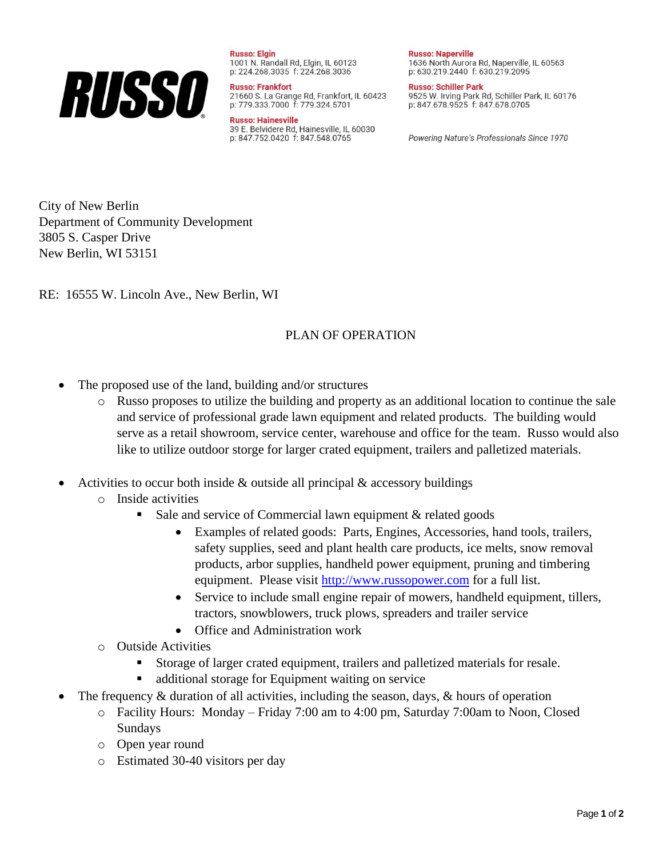

**Russo: Elgin** 1001 N. Randall Rd, Elgin, IL 60123 p: 224.268.3035 f: 224.268.3036

**Russo: Frankfort** 21660 S. La Grange Rd, Frankfort, IL 60423 p: 779.333.7000 f: 779.324.5701

**Russo: Hainesville** 39 E. Belvidere Rd, Hainesville, IL 60030 p: 847.752.0420 f: 847.548.0765

**Russo: Naperville** 1636 North Aurora Rd, Naperville, IL 60563 p: 630.219.2440 f: 630.219.2095

**Russo: Schiller Park** 9525 W. Irving Park Rd, Schiller Park, IL 60176 p: 847.678.9525 f: 847.678.0705

Powering Nature's Professionals Since 1970

City of New Berlin Department of Community Development 3805 S. Casper Drive New Berlin, WI 53151

RE: 16555 W. Lincoln Ave., New Berlin, WI

## PLAN OF OPERATION

- The proposed use of the land, building and/or structures
	- o Russo proposes to utilize the building and property as an additional location to continue the sale and service of professional grade lawn equipment and related products. The building would serve as a retail showroom, service center, warehouse and office for the team. Russo would also like to utilize outdoor storge for larger crated equipment, trailers and palletized materials.
- Activities to occur both inside  $\&$  outside all principal  $\&$  accessory buildings
	- o Inside activities
		- Sale and service of Commercial lawn equipment  $&$  related goods
			- Examples of related goods: Parts, Engines, Accessories, hand tools, trailers, safety supplies, seed and plant health care products, ice melts, snow removal products, arbor supplies, handheld power equipment, pruning and timbering equipment. Please visit [http://www.russopower.com](http://www.russopower.com/) for a full list.
			- Service to include small engine repair of mowers, handheld equipment, tillers, tractors, snowblowers, truck plows, spreaders and trailer service
			- Office and Administration work
	- o Outside Activities
		- Storage of larger crated equipment, trailers and palletized materials for resale.
		- additional storage for Equipment waiting on service
- The frequency  $\&$  duration of all activities, including the season, days,  $\&$  hours of operation
	- o Facility Hours: Monday Friday 7:00 am to 4:00 pm, Saturday 7:00am to Noon, Closed Sundays
	- o Open year round
	- o Estimated 30-40 visitors per day